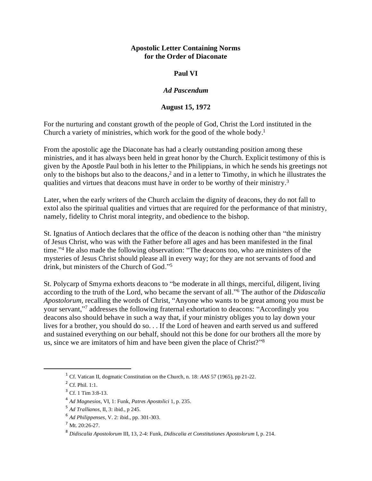#### **Apostolic Letter Containing Norms for the Order of Diaconate**

### **Paul VI**

#### *Ad Pascendum*

#### **August 15, 1972**

For the nurturing and constant growth of the people of God, Christ the Lord instituted in the Church a variety of ministries, which work for the good of the whole body.<sup>1</sup>

From the apostolic age the Diaconate has had a clearly outstanding position among these ministries, and it has always been held in great honor by the Church. Explicit testimony of this is given by the Apostle Paul both in his letter to the Philippians, in which he sends his greetings not only to the bishops but also to the deacons, 2 and in a letter to Timothy, in which he illustrates the qualities and virtues that deacons must have in order to be worthy of their ministry.<sup>3</sup>

Later, when the early writers of the Church acclaim the dignity of deacons, they do not fall to extol also the spiritual qualities and virtues that are required for the performance of that ministry, namely, fidelity to Christ moral integrity, and obedience to the bishop.

St. Ignatius of Antioch declares that the office of the deacon is nothing other than "the ministry of Jesus Christ, who was with the Father before all ages and has been manifested in the final time."<sup>4</sup> He also made the following observation: "The deacons too, who are ministers of the mysteries of Jesus Christ should please all in every way; for they are not servants of food and drink, but ministers of the Church of God."<sup>5</sup>

St. Polycarp of Smyrna exhorts deacons to "be moderate in all things, merciful, diligent, living according to the truth of the Lord, who became the servant of all."<sup>6</sup> The author of the *Didascalia Apostolorum,* recalling the words of Christ, "Anyone who wants to be great among you must be your servant,"<sup>7</sup> addresses the following fraternal exhortation to deacons: "Accordingly you deacons also should behave in such a way that, if your ministry obliges you to lay down your lives for a brother, you should do so. . . If the Lord of heaven and earth served us and suffered and sustained everything on our behalf, should not this be done for our brothers all the more by us, since we are imitators of him and have been given the place of Christ?" 8

<sup>1</sup> Cf. Vatican II, dogmatic Constitution on the Church, n. 18: *AAS* 57 (1965), pp 21-22.

<sup>&</sup>lt;sup>2</sup> Cf. Phil. 1:1.

<sup>&</sup>lt;sup>3</sup> Cf. 1 Tim 3:8-13.

<sup>4</sup> *Ad Magnesios,* VI, 1: Funk, *Patres Apostolici* 1, p. 235.

<sup>5</sup> *Ad Trallianos,* II, 3: ibid., p 245.

<sup>6</sup> *Ad Philippenses,* V. 2: ibid., pp. 301-303.

 $^7$  Mt. 20:26-27.

<sup>8</sup> *Didiscalia Apostolorum* III, 13, 2-4: Funk, *Didiscalia et Constitutiones Apostolorum* I, p. 214.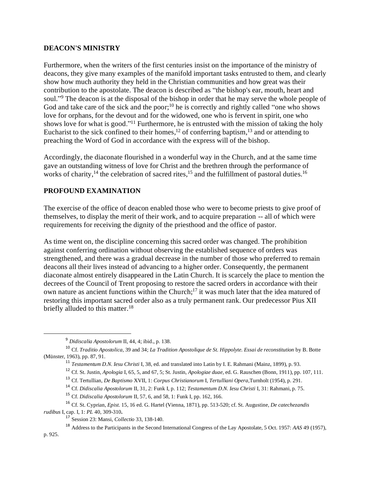#### **DEACON'S MINISTRY**

Furthermore, when the writers of the first centuries insist on the importance of the ministry of deacons, they give many examples of the manifold important tasks entrusted to them, and clearly show how much authority they held in the Christian communities and how great was their contribution to the apostolate. The deacon is described as "the bishop's ear, mouth, heart and soul."<sup>9</sup> The deacon is at the disposal of the bishop in order that he may serve the whole people of God and take care of the sick and the poor; $^{10}$  he is correctly and rightly called "one who shows love for orphans, for the devout and for the widowed, one who is fervent in spirit, one who shows love for what is good."<sup>11</sup> Furthermore, he is entrusted with the mission of taking the holy Eucharist to the sick confined to their homes,<sup>12</sup> of conferring baptism,<sup>13</sup> and or attending to preaching the Word of God in accordance with the express will of the bishop.

Accordingly, the diaconate flourished in a wonderful way in the Church, and at the same time gave an outstanding witness of love for Christ and the brethren through the performance of works of charity,<sup>14</sup> the celebration of sacred rites,<sup>15</sup> and the fulfillment of pastoral duties.<sup>16</sup>

### **PROFOUND EXAMINATION**

The exercise of the office of deacon enabled those who were to become priests to give proof of themselves, to display the merit of their work, and to acquire preparation -- all of which were requirements for receiving the dignity of the priesthood and the office of pastor.

As time went on, the discipline concerning this sacred order was changed. The prohibition against conferring ordination without observing the established sequence of orders was strengthened, and there was a gradual decrease in the number of those who preferred to remain deacons all their lives instead of advancing to a higher order. Consequently, the permanent diaconate almost entirely disappeared in the Latin Church. It is scarcely the place to mention the decrees of the Council of Trent proposing to restore the sacred orders in accordance with their own nature as ancient functions within the Church;<sup>17</sup> it was much later that the idea matured of restoring this important sacred order also as a truly permanent rank. Our predecessor Pius XII briefly alluded to this matter.<sup>18</sup>

<sup>9</sup> *Didiscalia Apostolorum* II, 44, 4; ibid., p. 138.

<sup>10</sup> Cf. *Traditio Apostolica,* 39 and 34; *La Tradition Apostolique de St. Hippolyte. Essai de reconstitution* by B. Botte (Münster, 1963), pp. 87, 91.

<sup>11</sup> *Testamentum D.N. Iesu Christi* I, 38, ed. and translated into Latin by I. E. Rahmani (Mainz, 1899), p. 93.

<sup>12</sup> Cf. St. Justin, *Apologia* I, 65, 5, and 67, 5; St. Justin, *Apologiae duae,* ed. G. Rauschen (Bonn, 1911), pp. 107, 111.

<sup>13</sup> Cf. Tertullian, *De Baptismo* XVII, 1: *Corpus Christianorum* I, *Tertulliani Opera,*Turnholt (1954), p. 291.

<sup>14</sup> Cf. *Didiscalia Apostolorum* II, 31, 2: Funk I, p. 112; *Testamentum D.N. Iesu Christi* I, 31: Rahmani, p. 75.

<sup>15</sup> Cf. *Didiscalia Apostolorum* II, 57, 6, and 58, 1: Funk I, pp. 162, 166.

<sup>16</sup> Cf. St. Cyprian, *Epist.* 15, 16 ed. G. Hartel (Vienna, 1871), pp. 513-520; cf. St. Augustine, *De catechezandis rudibus* I, cap. I, 1: *PL* 40, 309-310**.** 

<sup>17</sup> Session 23: Mansi, *Collectio* 33, 138-140.

<sup>18</sup> Address to the Participants in the Second International Congress of the Lay Apostolate, 5 Oct. 1957: *AAS* 49 (1957),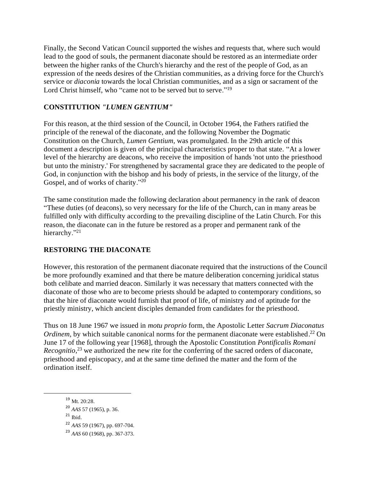Finally, the Second Vatican Council supported the wishes and requests that, where such would lead to the good of souls, the permanent diaconate should be restored as an intermediate order between the higher ranks of the Church's hierarchy and the rest of the people of God, as an expression of the needs desires of the Christian communities, as a driving force for the Church's service or *diaconia* towards the local Christian communities, and as a sign or sacrament of the Lord Christ himself, who "came not to be served but to serve."<sup>19</sup>

### **CONSTITUTION** *"LUMEN GENTIUM"*

For this reason, at the third session of the Council, in October 1964, the Fathers ratified the principle of the renewal of the diaconate, and the following November the Dogmatic Constitution on the Church, *Lumen Gentium,* was promulgated. In the 29th article of this document a description is given of the principal characteristics proper to that state. "At a lower level of the hierarchy are deacons, who receive the imposition of hands 'not unto the priesthood but unto the ministry.' For strengthened by sacramental grace they are dedicated to the people of God, in conjunction with the bishop and his body of priests, in the service of the liturgy, of the Gospel, and of works of charity."<sup>20</sup>

The same constitution made the following declaration about permanency in the rank of deacon "These duties (of deacons), so very necessary for the life of the Church, can in many areas be fulfilled only with difficulty according to the prevailing discipline of the Latin Church. For this reason, the diaconate can in the future be restored as a proper and permanent rank of the hierarchy."<sup>21</sup>

## **RESTORING THE DIACONATE**

However, this restoration of the permanent diaconate required that the instructions of the Council be more profoundly examined and that there be mature deliberation concerning juridical status both celibate and married deacon. Similarly it was necessary that matters connected with the diaconate of those who are to become priests should be adapted to contemporary conditions, so that the hire of diaconate would furnish that proof of life, of ministry and of aptitude for the priestly ministry, which ancient disciples demanded from candidates for the priesthood.

Thus on 18 June 1967 we issued in *motu proprio* form, the Apostolic Letter *Sacrum Diaconatus*  Ordinem, by which suitable canonical norms for the permanent diaconate were established.<sup>22</sup> On June 17 of the following year [1968], through the Apostolic Constitution *Pontificalis Romani Recognitio,* <sup>23</sup> we authorized the new rite for the conferring of the sacred orders of diaconate, priesthood and episcopacy, and at the same time defined the matter and the form of the ordination itself.

<sup>19</sup> Mt. 20:28.

<sup>20</sup> *AAS* 57 (1965), p. 36.

 $21$  Ibid.

<sup>22</sup> *AAS* 59 (1967), pp. 697-704.

<sup>23</sup> *AAS* 60 (1968), pp. 367-373.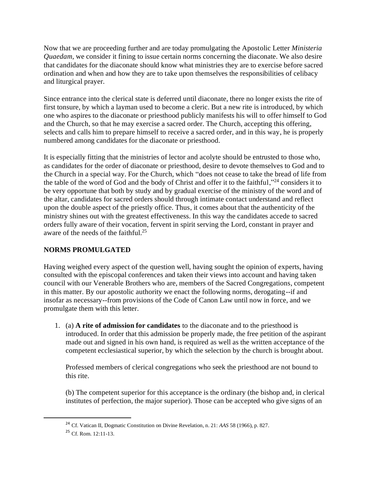Now that we are proceeding further and are today promulgating the Apostolic Letter *Ministeria Quaedam,* we consider it fining to issue certain norms concerning the diaconate. We also desire that candidates for the diaconate should know what ministries they are to exercise before sacred ordination and when and how they are to take upon themselves the responsibilities of celibacy and liturgical prayer.

Since entrance into the clerical state is deferred until diaconate, there no longer exists the rite of first tonsure, by which a layman used to become a cleric. But a new rite is introduced, by which one who aspires to the diaconate or priesthood publicly manifests his will to offer himself to God and the Church, so that he may exercise a sacred order. The Church, accepting this offering, selects and calls him to prepare himself to receive a sacred order, and in this way, he is properly numbered among candidates for the diaconate or priesthood.

It is especially fitting that the ministries of lector and acolyte should be entrusted to those who, as candidates for the order of diaconate or priesthood, desire to devote themselves to God and to the Church in a special way. For the Church, which "does not cease to take the bread of life from the table of the word of God and the body of Christ and offer it to the faithful,"<sup>24</sup> considers it to be very opportune that both by study and by gradual exercise of the ministry of the word and of the altar, candidates for sacred orders should through intimate contact understand and reflect upon the double aspect of the priestly office. Thus, it comes about that the authenticity of the ministry shines out with the greatest effectiveness. In this way the candidates accede to sacred orders fully aware of their vocation, fervent in spirit serving the Lord, constant in prayer and aware of the needs of the faithful. 25

## **NORMS PROMULGATED**

Having weighed every aspect of the question well, having sought the opinion of experts, having consulted with the episcopal conferences and taken their views into account and having taken council with our Venerable Brothers who are, members of the Sacred Congregations, competent in this matter. By our apostolic authority we enact the following norms, derogating--if and insofar as necessary--from provisions of the Code of Canon Law until now in force, and we promulgate them with this letter.

1. (a) **A rite of admission for candidates** to the diaconate and to the priesthood is introduced. In order that this admission be properly made, the free petition of the aspirant made out and signed in his own hand, is required as well as the written acceptance of the competent ecclesiastical superior, by which the selection by the church is brought about.

Professed members of clerical congregations who seek the priesthood are not bound to this rite.

(b) The competent superior for this acceptance is the ordinary (the bishop and, in clerical institutes of perfection, the major superior). Those can be accepted who give signs of an

<sup>24</sup> Cf. Vatican II, Dogmatic Constitution on Divine Revelation, n. 21: *AAS* 58 (1966), p. 827.

<sup>25</sup> Cf. Rom. 12:11-13.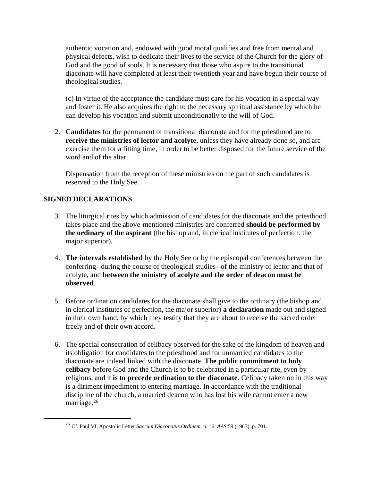authentic vocation and, endowed with good moral qualifies and free from mental and physical defects, wish to dedicate their lives to the service of the Church for the glory of God and the good of souls. It is necessary that those who aspire to the transitional diaconate will have completed at least their twentieth year and have begun their course of theological studies.

(c) In virtue of the acceptance the candidate must care for his vocation in a special way and foster it. He also acquires the right to the necessary spiritual assistance by which he can develop his vocation and submit unconditionally to the will of God.

2. **Candidates** for the permanent or transitional diaconate and for the priesthood are to **receive the ministries of lector and acolyte**, unless they have already done so, and are exercise them for a fitting time, in order to be better disposed for the future service of the word and of the altar.

Dispensation from the reception of these ministries on the part of such candidates is reserved to the Holy See.

# **SIGNED DECLARATIONS**

- 3. The liturgical rites by which admission of candidates for the diaconate and the priesthood takes place and the above-mentioned ministries are conferred **should be performed by the ordinary of the aspirant** (the bishop and, in clerical institutes of perfection. the major superior).
- 4. **The intervals established** by the Holy See or by the episcopal conferences between the conferring--during the course of theological studies--of the ministry of lector and that of acolyte, and **between the ministry of acolyte and the order of deacon must be observed**.
- 5. Before ordination candidates for the diaconate shall give to the ordinary (the bishop and, in clerical institutes of perfection, the major superior) **a declaration** made out and signed in their own hand, by which they testify that they are about to receive the sacred order freely and of their own accord.
- 6. The special consecration of celibacy observed for the sake of the kingdom of heaven and its obligation for candidates to the priesthood and for unmarried candidates to the diaconate are indeed linked with the diaconate. **The public commitment to holy celibacy** before God and the Church is to be celebrated in a particular rite, even by religious, and it **is to precede ordination to the diaconate**. Celibacy taken on in this way is a diriment impediment to entering marriage. In accordance with the traditional discipline of the church, a married deacon who has lost his wife cannot enter a new marriage.<sup>26</sup>

<sup>26</sup> Cf. Paul VI, Apostolic Letter *Sacrum Diaconatus Ordinem,* n. 16: *AAS* 59 (1967), p. 701.